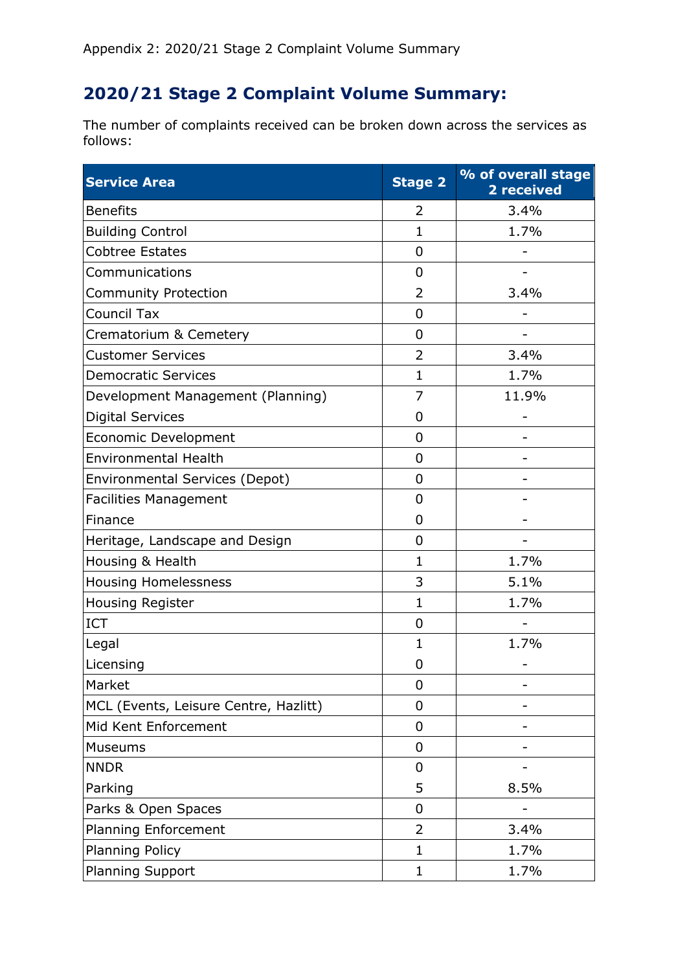## **2020/21 Stage 2 Complaint Volume Summary:**

The number of complaints received can be broken down across the services as follows:

| <b>Service Area</b>                   | <b>Stage 2</b> | % of overall stage<br>2 received |
|---------------------------------------|----------------|----------------------------------|
| <b>Benefits</b>                       | 2              | 3.4%                             |
| <b>Building Control</b>               | $\mathbf 1$    | 1.7%                             |
| <b>Cobtree Estates</b>                | $\overline{0}$ |                                  |
| Communications                        | $\overline{0}$ |                                  |
| <b>Community Protection</b>           | 2              | 3.4%                             |
| <b>Council Tax</b>                    | $\overline{0}$ |                                  |
| Crematorium & Cemetery                | $\mathbf 0$    |                                  |
| <b>Customer Services</b>              | $\overline{2}$ | 3.4%                             |
| <b>Democratic Services</b>            | $\mathbf{1}$   | 1.7%                             |
| Development Management (Planning)     | $\overline{7}$ | 11.9%                            |
| <b>Digital Services</b>               | 0              |                                  |
| <b>Economic Development</b>           | $\overline{0}$ |                                  |
| <b>Environmental Health</b>           | $\overline{0}$ |                                  |
| <b>Environmental Services (Depot)</b> | $\overline{0}$ |                                  |
| <b>Facilities Management</b>          | $\overline{0}$ |                                  |
| Finance                               | $\overline{0}$ |                                  |
| Heritage, Landscape and Design        | $\overline{0}$ |                                  |
| Housing & Health                      | $\mathbf{1}$   | 1.7%                             |
| <b>Housing Homelessness</b>           | 3              | 5.1%                             |
| <b>Housing Register</b>               | $\mathbf{1}$   | 1.7%                             |
| <b>ICT</b>                            | 0              |                                  |
| Legal                                 | 1              | 1.7%                             |
| Licensing                             | 0              |                                  |
| Market                                | 0              |                                  |
| MCL (Events, Leisure Centre, Hazlitt) | $\mathbf 0$    |                                  |
| Mid Kent Enforcement                  | 0              |                                  |
| Museums                               | 0              |                                  |
| <b>NNDR</b>                           | $\mathbf 0$    |                                  |
| Parking                               | 5              | 8.5%                             |
| Parks & Open Spaces                   | $\mathbf 0$    |                                  |
| <b>Planning Enforcement</b>           | $\overline{2}$ | 3.4%                             |
| <b>Planning Policy</b>                | 1              | 1.7%                             |
| <b>Planning Support</b>               | 1              | 1.7%                             |